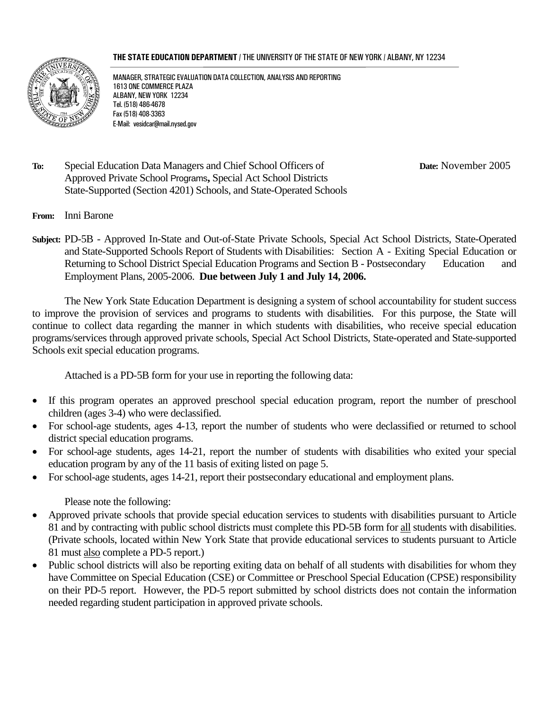#### **THE STATE EDUCATION DEPARTMENT** / THE UNIVERSITY OF THE STATE OF NEW YORK / ALBANY, NY 12234



MANAGER, STRATEGIC EVALUATION DATA COLLECTION, ANALYSIS AND REPORTING 1613 ONE COMMERCE PLAZA ALBANY, NEW YORK 12234 Tel. (518) 486-4678 Fax (518) 408-3363 E-Mail: vesidcar@mail.nysed.gov

**To:** Special Education Data Managers and Chief School Officers of **Date:** November 2005 Approved Private School Programs**,** Special Act School Districts State-Supported (Section 4201) Schools, and State-Operated Schools

- **From:** Inni Barone
- **Subject:** PD-5B Approved In-State and Out-of-State Private Schools, Special Act School Districts, State-Operated and State-Supported Schools Report of Students with Disabilities: Section A - Exiting Special Education or Returning to School District Special Education Programs and Section B - Postsecondary Education and Employment Plans, 2005-2006. **Due between July 1 and July 14, 2006.**

 The New York State Education Department is designing a system of school accountability for student success to improve the provision of services and programs to students with disabilities. For this purpose, the State will continue to collect data regarding the manner in which students with disabilities, who receive special education programs/services through approved private schools, Special Act School Districts, State-operated and State-supported Schools exit special education programs.

Attached is a PD-5B form for your use in reporting the following data:

- If this program operates an approved preschool special education program, report the number of preschool children (ages 3-4) who were declassified.
- For school-age students, ages 4-13, report the number of students who were declassified or returned to school district special education programs.
- For school-age students, ages 14-21, report the number of students with disabilities who exited your special education program by any of the 11 basis of exiting listed on page 5.
- For school-age students, ages 14-21, report their postsecondary educational and employment plans.

Please note the following:

- Approved private schools that provide special education services to students with disabilities pursuant to Article 81 and by contracting with public school districts must complete this PD-5B form for all students with disabilities. (Private schools, located within New York State that provide educational services to students pursuant to Article 81 must also complete a PD-5 report.)
- Public school districts will also be reporting exiting data on behalf of all students with disabilities for whom they have Committee on Special Education (CSE) or Committee or Preschool Special Education (CPSE) responsibility on their PD-5 report. However, the PD-5 report submitted by school districts does not contain the information needed regarding student participation in approved private schools.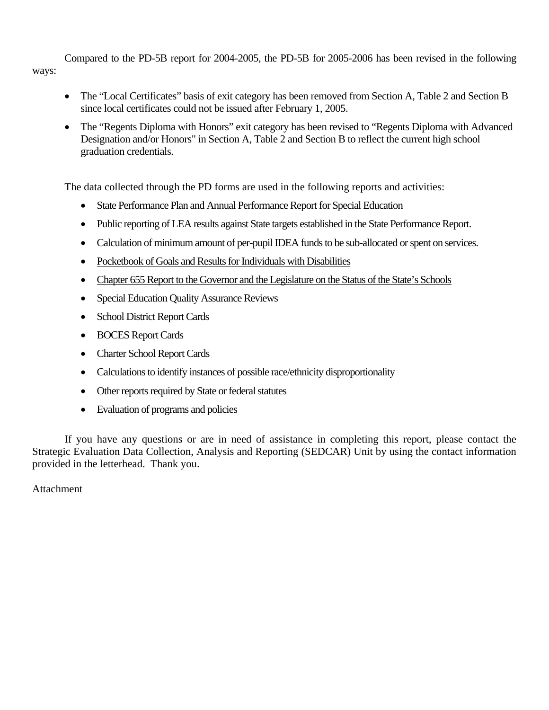Compared to the PD-5B report for 2004-2005, the PD-5B for 2005-2006 has been revised in the following ways:

- The "Local Certificates" basis of exit category has been removed from Section A, Table 2 and Section B since local certificates could not be issued after February 1, 2005.
- The "Regents Diploma with Honors" exit category has been revised to "Regents Diploma with Advanced Designation and/or Honors" in Section A, Table 2 and Section B to reflect the current high school graduation credentials.

The data collected through the PD forms are used in the following reports and activities:

- State Performance Plan and Annual Performance Report for Special Education
- Public reporting of LEA results against State targets established in the State Performance Report.
- Calculation of minimum amount of per-pupil IDEA funds to be sub-allocated or spent on services.
- Pocketbook of Goals and Results for Individuals with Disabilities
- Chapter 655 Report to the Governor and the Legislature on the Status of the State's Schools
- Special Education Quality Assurance Reviews
- School District Report Cards
- BOCES Report Cards
- Charter School Report Cards
- Calculations to identify instances of possible race/ethnicity disproportionality
- Other reports required by State or federal statutes
- Evaluation of programs and policies

 If you have any questions or are in need of assistance in completing this report, please contact the Strategic Evaluation Data Collection, Analysis and Reporting (SEDCAR) Unit by using the contact information provided in the letterhead. Thank you.

Attachment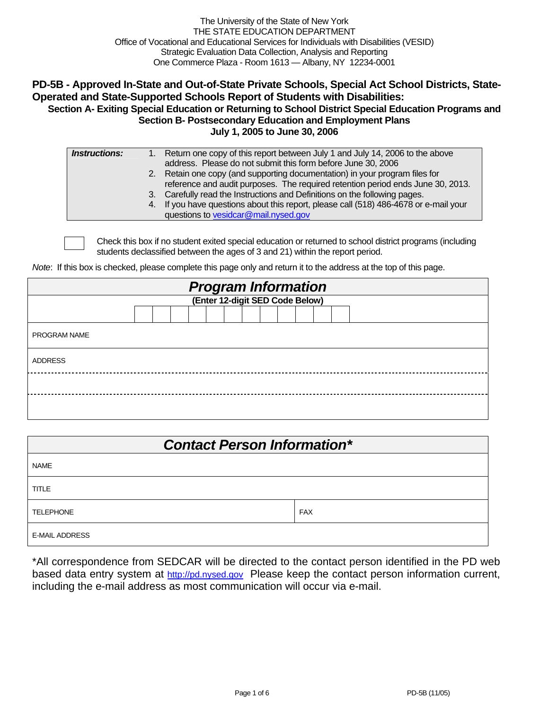The University of the State of New York THE STATE EDUCATION DEPARTMENT Office of Vocational and Educational Services for Individuals with Disabilities (VESID) Strategic Evaluation Data Collection, Analysis and Reporting One Commerce Plaza - Room 1613 — Albany, NY 12234-0001

### **PD-5B - Approved In-State and Out-of-State Private Schools, Special Act School Districts, State-Operated and State-Supported Schools Report of Students with Disabilities: Section A- Exiting Special Education or Returning to School District Special Education Programs and Section B- Postsecondary Education and Employment Plans**

**July 1, 2005 to June 30, 2006** 

| <i><b>Instructions:</b></i> | 1. Return one copy of this report between July 1 and July 14, 2006 to the above       |
|-----------------------------|---------------------------------------------------------------------------------------|
|                             | address. Please do not submit this form before June 30, 2006                          |
|                             | 2. Retain one copy (and supporting documentation) in your program files for           |
|                             | reference and audit purposes. The required retention period ends June 30, 2013.       |
|                             | 3. Carefully read the Instructions and Definitions on the following pages.            |
|                             | 4. If you have questions about this report, please call (518) 486-4678 or e-mail your |
|                             | questions to vesidcar@mail.nysed.gov                                                  |
|                             |                                                                                       |

Check this box if no student exited special education or returned to school district programs (including students declassified between the ages of 3 and 21) within the report period.

*Note*: If this box is checked, please complete this page only and return it to the address at the top of this page.

| <b>Program Information</b><br>(Enter 12-digit SED Code Below) |  |  |  |  |  |  |  |  |  |  |  |  |  |
|---------------------------------------------------------------|--|--|--|--|--|--|--|--|--|--|--|--|--|
|                                                               |  |  |  |  |  |  |  |  |  |  |  |  |  |
|                                                               |  |  |  |  |  |  |  |  |  |  |  |  |  |
| <b>PROGRAM NAME</b>                                           |  |  |  |  |  |  |  |  |  |  |  |  |  |
| <b>ADDRESS</b>                                                |  |  |  |  |  |  |  |  |  |  |  |  |  |
|                                                               |  |  |  |  |  |  |  |  |  |  |  |  |  |
|                                                               |  |  |  |  |  |  |  |  |  |  |  |  |  |

| <b>Contact Person Information*</b> |            |  |  |  |  |  |  |  |
|------------------------------------|------------|--|--|--|--|--|--|--|
| <b>NAME</b>                        |            |  |  |  |  |  |  |  |
| <b>TITLE</b>                       |            |  |  |  |  |  |  |  |
| <b>TELEPHONE</b>                   | <b>FAX</b> |  |  |  |  |  |  |  |
| <b>E-MAIL ADDRESS</b>              |            |  |  |  |  |  |  |  |

\*All correspondence from SEDCAR will be directed to the contact person identified in the PD web based data entry system at http://pd.nysed.gov Please keep the contact person information current, including the e-mail address as most communication will occur via e-mail.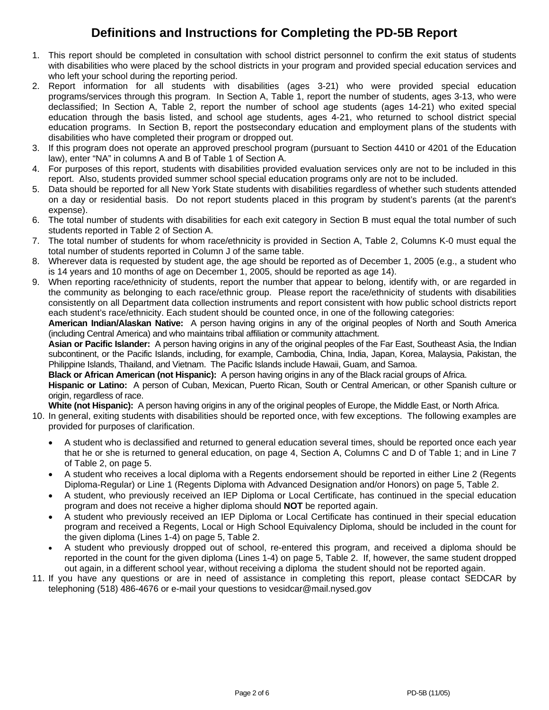## **Definitions and Instructions for Completing the PD-5B Report**

- 1. This report should be completed in consultation with school district personnel to confirm the exit status of students with disabilities who were placed by the school districts in your program and provided special education services and who left your school during the reporting period.
- 2. Report information for all students with disabilities (ages 3-21) who were provided special education programs/services through this program. In Section A, Table 1, report the number of students, ages 3-13, who were declassified; In Section A, Table 2, report the number of school age students (ages 14-21) who exited special education through the basis listed, and school age students, ages 4-21, who returned to school district special education programs. In Section B, report the postsecondary education and employment plans of the students with disabilities who have completed their program or dropped out.
- 3. If this program does not operate an approved preschool program (pursuant to Section 4410 or 4201 of the Education law), enter "NA" in columns A and B of Table 1 of Section A.
- 4. For purposes of this report, students with disabilities provided evaluation services only are not to be included in this report. Also, students provided summer school special education programs only are not to be included.
- 5. Data should be reported for all New York State students with disabilities regardless of whether such students attended on a day or residential basis. Do not report students placed in this program by student's parents (at the parent's expense).
- 6. The total number of students with disabilities for each exit category in Section B must equal the total number of such students reported in Table 2 of Section A.
- 7. The total number of students for whom race/ethnicity is provided in Section A, Table 2, Columns K-0 must equal the total number of students reported in Column J of the same table.
- 8. Wherever data is requested by student age, the age should be reported as of December 1, 2005 (e.g., a student who is 14 years and 10 months of age on December 1, 2005, should be reported as age 14).
- 9. When reporting race/ethnicity of students, report the number that appear to belong, identify with, or are regarded in the community as belonging to each race/ethnic group. Please report the race/ethnicity of students with disabilities consistently on all Department data collection instruments and report consistent with how public school districts report each student's race/ethnicity. Each student should be counted once, in one of the following categories:

**American Indian/Alaskan Native:** A person having origins in any of the original peoples of North and South America (including Central America) and who maintains tribal affiliation or community attachment.

**Asian or Pacific Islander:** A person having origins in any of the original peoples of the Far East, Southeast Asia, the Indian subcontinent, or the Pacific Islands, including, for example, Cambodia, China, India, Japan, Korea, Malaysia, Pakistan, the Philippine Islands, Thailand, and Vietnam. The Pacific Islands include Hawaii, Guam, and Samoa.

**Black or African American (not Hispanic):** A person having origins in any of the Black racial groups of Africa.

**Hispanic or Latino:** A person of Cuban, Mexican, Puerto Rican, South or Central American, or other Spanish culture or origin, regardless of race.

**White (not Hispanic):** A person having origins in any of the original peoples of Europe, the Middle East, or North Africa.

- 10. In general, exiting students with disabilities should be reported once, with few exceptions. The following examples are provided for purposes of clarification.
	- A student who is declassified and returned to general education several times, should be reported once each year that he or she is returned to general education, on page 4, Section A, Columns C and D of Table 1; and in Line 7 of Table 2, on page 5.
	- A student who receives a local diploma with a Regents endorsement should be reported in either Line 2 (Regents Diploma-Regular) or Line 1 (Regents Diploma with Advanced Designation and/or Honors) on page 5, Table 2.
	- A student, who previously received an IEP Diploma or Local Certificate, has continued in the special education program and does not receive a higher diploma should **NOT** be reported again.
	- A student who previously received an IEP Diploma or Local Certificate has continued in their special education program and received a Regents, Local or High School Equivalency Diploma, should be included in the count for the given diploma (Lines 1-4) on page 5, Table 2.
	- A student who previously dropped out of school, re-entered this program, and received a diploma should be reported in the count for the given diploma (Lines 1-4) on page 5, Table 2. If, however, the same student dropped out again, in a different school year, without receiving a diploma the student should not be reported again.
- 11. If you have any questions or are in need of assistance in completing this report, please contact SEDCAR by telephoning (518) 486-4676 or e-mail your questions to vesidcar@mail.nysed.gov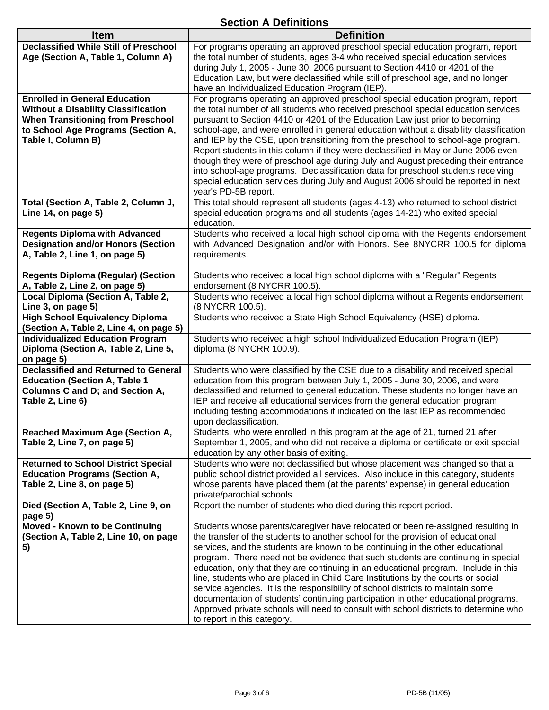### **Section A Definitions**

| <b>Item</b>                                                                        | <b>Definition</b>                                                                                                                                                      |
|------------------------------------------------------------------------------------|------------------------------------------------------------------------------------------------------------------------------------------------------------------------|
| <b>Declassified While Still of Preschool</b><br>Age (Section A, Table 1, Column A) | For programs operating an approved preschool special education program, report<br>the total number of students, ages 3-4 who received special education services       |
|                                                                                    | during July 1, 2005 - June 30, 2006 pursuant to Section 4410 or 4201 of the                                                                                            |
|                                                                                    | Education Law, but were declassified while still of preschool age, and no longer                                                                                       |
|                                                                                    | have an Individualized Education Program (IEP).                                                                                                                        |
| <b>Enrolled in General Education</b>                                               | For programs operating an approved preschool special education program, report                                                                                         |
| <b>Without a Disability Classification</b>                                         | the total number of all students who received preschool special education services                                                                                     |
| <b>When Transitioning from Preschool</b><br>to School Age Programs (Section A,     | pursuant to Section 4410 or 4201 of the Education Law just prior to becoming<br>school-age, and were enrolled in general education without a disability classification |
| Table I, Column B)                                                                 | and IEP by the CSE, upon transitioning from the preschool to school-age program.                                                                                       |
|                                                                                    | Report students in this column if they were declassified in May or June 2006 even                                                                                      |
|                                                                                    | though they were of preschool age during July and August preceding their entrance                                                                                      |
|                                                                                    | into school-age programs. Declassification data for preschool students receiving<br>special education services during July and August 2006 should be reported in next  |
|                                                                                    | year's PD-5B report.                                                                                                                                                   |
| Total (Section A, Table 2, Column J,                                               | This total should represent all students (ages 4-13) who returned to school district                                                                                   |
| Line 14, on page 5)                                                                | special education programs and all students (ages 14-21) who exited special                                                                                            |
|                                                                                    | education.                                                                                                                                                             |
| <b>Regents Diploma with Advanced</b><br><b>Designation and/or Honors (Section</b>  | Students who received a local high school diploma with the Regents endorsement<br>with Advanced Designation and/or with Honors. See 8NYCRR 100.5 for diploma           |
| A, Table 2, Line 1, on page 5)                                                     | requirements.                                                                                                                                                          |
|                                                                                    |                                                                                                                                                                        |
| <b>Regents Diploma (Regular) (Section</b>                                          | Students who received a local high school diploma with a "Regular" Regents                                                                                             |
| A, Table 2, Line 2, on page 5)                                                     | endorsement (8 NYCRR 100.5).                                                                                                                                           |
| Local Diploma (Section A, Table 2,<br>Line 3, on page 5)                           | Students who received a local high school diploma without a Regents endorsement<br>(8 NYCRR 100.5).                                                                    |
| <b>High School Equivalency Diploma</b>                                             | Students who received a State High School Equivalency (HSE) diploma.                                                                                                   |
| (Section A, Table 2, Line 4, on page 5)                                            |                                                                                                                                                                        |
| <b>Individualized Education Program</b>                                            | Students who received a high school Individualized Education Program (IEP)                                                                                             |
| Diploma (Section A, Table 2, Line 5,                                               | diploma (8 NYCRR 100.9).                                                                                                                                               |
| on page 5)<br><b>Declassified and Returned to General</b>                          | Students who were classified by the CSE due to a disability and received special                                                                                       |
| <b>Education (Section A, Table 1</b>                                               | education from this program between July 1, 2005 - June 30, 2006, and were                                                                                             |
| <b>Columns C and D; and Section A,</b>                                             | declassified and returned to general education. These students no longer have an                                                                                       |
| Table 2, Line 6)                                                                   | IEP and receive all educational services from the general education program                                                                                            |
|                                                                                    | including testing accommodations if indicated on the last IEP as recommended<br>upon declassification.                                                                 |
| Reached Maximum Age (Section A,                                                    | Students, who were enrolled in this program at the age of 21, turned 21 after                                                                                          |
| Table 2, Line 7, on page 5)                                                        | September 1, 2005, and who did not receive a diploma or certificate or exit special                                                                                    |
|                                                                                    | education by any other basis of exiting.                                                                                                                               |
| <b>Returned to School District Special</b>                                         | Students who were not declassified but whose placement was changed so that a                                                                                           |
| <b>Education Programs (Section A,</b><br>Table 2, Line 8, on page 5)               | public school district provided all services. Also include in this category, students<br>whose parents have placed them (at the parents' expense) in general education |
|                                                                                    | private/parochial schools.                                                                                                                                             |
| Died (Section A, Table 2, Line 9, on                                               | Report the number of students who died during this report period.                                                                                                      |
| page 5)                                                                            |                                                                                                                                                                        |
| Moved - Known to be Continuing                                                     | Students whose parents/caregiver have relocated or been re-assigned resulting in                                                                                       |
| (Section A, Table 2, Line 10, on page<br>5)                                        | the transfer of the students to another school for the provision of educational<br>services, and the students are known to be continuing in the other educational      |
|                                                                                    | program. There need not be evidence that such students are continuing in special                                                                                       |
|                                                                                    | education, only that they are continuing in an educational program. Include in this                                                                                    |
|                                                                                    | line, students who are placed in Child Care Institutions by the courts or social                                                                                       |
|                                                                                    | service agencies. It is the responsibility of school districts to maintain some<br>documentation of students' continuing participation in other educational programs.  |
|                                                                                    | Approved private schools will need to consult with school districts to determine who                                                                                   |
|                                                                                    | to report in this category.                                                                                                                                            |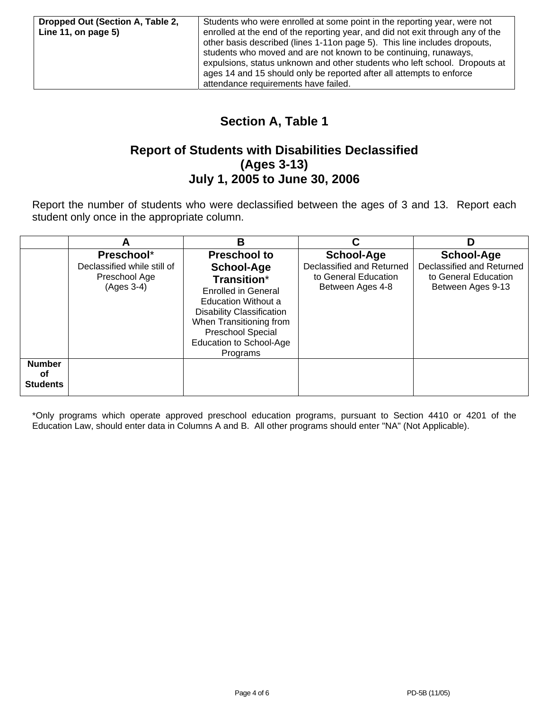## **Section A, Table 1**

### **Report of Students with Disabilities Declassified (Ages 3-13) July 1, 2005 to June 30, 2006**

Report the number of students who were declassified between the ages of 3 and 13. Report each student only once in the appropriate column.

|                                        | A                                                                        | В                                                                                                                                                                                                                                                     |                                                                                     | D                                                                                           |
|----------------------------------------|--------------------------------------------------------------------------|-------------------------------------------------------------------------------------------------------------------------------------------------------------------------------------------------------------------------------------------------------|-------------------------------------------------------------------------------------|---------------------------------------------------------------------------------------------|
|                                        | Preschool*<br>Declassified while still of<br>Preschool Age<br>(Ages 3-4) | <b>Preschool to</b><br><b>School-Age</b><br>Transition*<br><b>Enrolled in General</b><br><b>Education Without a</b><br><b>Disability Classification</b><br>When Transitioning from<br><b>Preschool Special</b><br>Education to School-Age<br>Programs | School-Age<br>Declassified and Returned<br>to General Education<br>Between Ages 4-8 | <b>School-Age</b><br>Declassified and Returned<br>to General Education<br>Between Ages 9-13 |
| <b>Number</b><br>οf<br><b>Students</b> |                                                                          |                                                                                                                                                                                                                                                       |                                                                                     |                                                                                             |

\*Only programs which operate approved preschool education programs, pursuant to Section 4410 or 4201 of the Education Law, should enter data in Columns A and B. All other programs should enter "NA" (Not Applicable).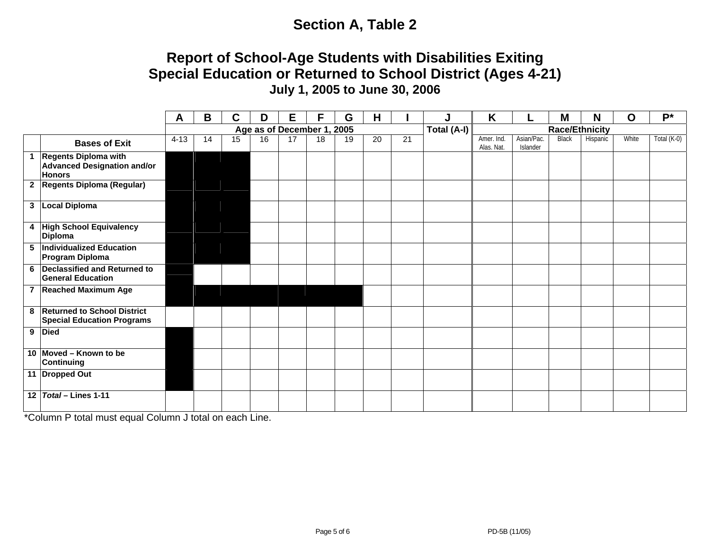# **Section A, Table 2**

## **Report of School-Age Students with Disabilities Exiting Special Education or Returned to School District (Ages 4-21) July 1, 2005 to June 30, 2006**

|    |                                                                               | Α        | В                                         | C  | D  | Е  | F  | G  | H  |    | J | K                        |                        | M            | N        | O     | $P^*$       |
|----|-------------------------------------------------------------------------------|----------|-------------------------------------------|----|----|----|----|----|----|----|---|--------------------------|------------------------|--------------|----------|-------|-------------|
|    |                                                                               |          | Total (A-I)<br>Age as of December 1, 2005 |    |    |    |    |    |    |    |   | <b>Race/Ethnicity</b>    |                        |              |          |       |             |
|    | <b>Bases of Exit</b>                                                          | $4 - 13$ | 14                                        | 15 | 16 | 17 | 18 | 19 | 20 | 21 |   | Amer. Ind.<br>Alas. Nat. | Asian/Pac.<br>Islander | <b>Black</b> | Hispanic | White | Total (K-0) |
|    | 1 Regents Diploma with<br><b>Advanced Designation and/or</b><br><b>Honors</b> |          |                                           |    |    |    |    |    |    |    |   |                          |                        |              |          |       |             |
|    | 2 Regents Diploma (Regular)                                                   |          |                                           |    |    |    |    |    |    |    |   |                          |                        |              |          |       |             |
|    | 3   Local Diploma                                                             |          |                                           |    |    |    |    |    |    |    |   |                          |                        |              |          |       |             |
|    | 4 High School Equivalency<br><b>Diploma</b>                                   |          |                                           |    |    |    |    |    |    |    |   |                          |                        |              |          |       |             |
|    | 5 Individualized Education<br><b>Program Diploma</b>                          |          |                                           |    |    |    |    |    |    |    |   |                          |                        |              |          |       |             |
|    | 6 Declassified and Returned to<br><b>General Education</b>                    |          |                                           |    |    |    |    |    |    |    |   |                          |                        |              |          |       |             |
|    | 7 Reached Maximum Age                                                         |          |                                           |    |    |    |    |    |    |    |   |                          |                        |              |          |       |             |
|    | 8 Returned to School District<br><b>Special Education Programs</b>            |          |                                           |    |    |    |    |    |    |    |   |                          |                        |              |          |       |             |
|    | 9 Died                                                                        |          |                                           |    |    |    |    |    |    |    |   |                          |                        |              |          |       |             |
|    | 10 Moved - Known to be<br><b>Continuing</b>                                   |          |                                           |    |    |    |    |    |    |    |   |                          |                        |              |          |       |             |
|    | 11 Dropped Out                                                                |          |                                           |    |    |    |    |    |    |    |   |                          |                        |              |          |       |             |
| 12 | Total - Lines 1-11                                                            |          |                                           |    |    |    |    |    |    |    |   |                          |                        |              |          |       |             |

\*Column P total must equal Column J total on each Line.